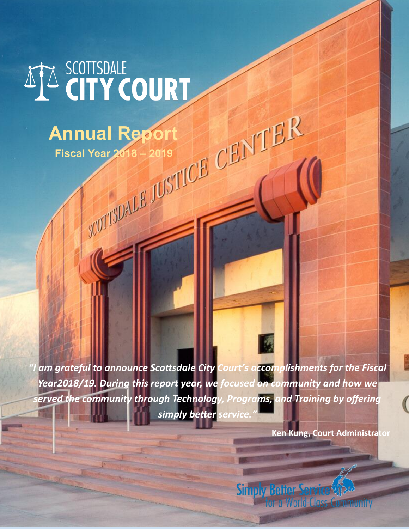## ATA SCOTTSDALE COURT

# Annual Report<br>Fiscal Year 2018 – 2019<br>*CENTER*

 **Fiscal Year 2018 – 2019**

*"I am grateful to announce Scottsdale City Court's accomplishments for the Fiscal Year2018/19. During this report year, we focused on community and how we erved the community through Technology, Programs, and Training by offering simply better service."*

**Ken Kung, Court Administrator**

**Simply Better Service of** for a World-Class Community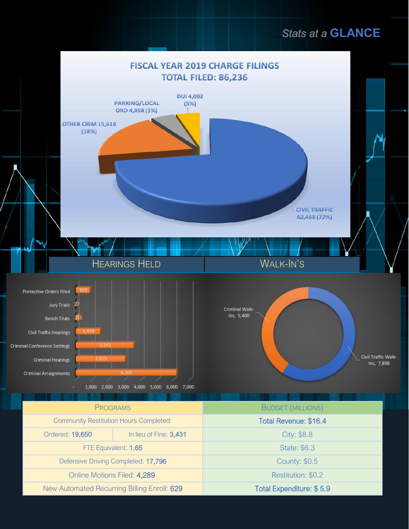#### *…Stats at a* **GLANCE**

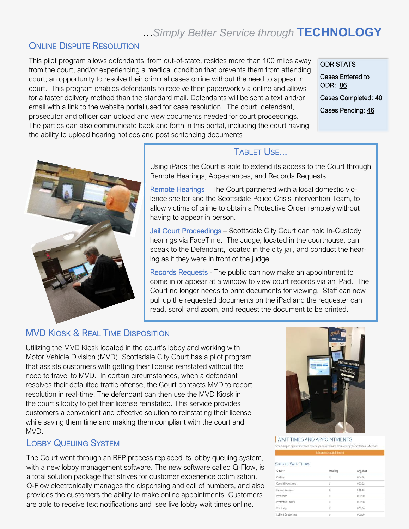#### *…Simply Better Service through* **TECHNOLOGY**

#### **ONLINE DISPUTE RESOLUTION**

This pilot program allows defendants from out-of-state, resides more than 100 miles away from the court, and/or experiencing a medical condition that prevents them from attending court; an opportunity to resolve their criminal cases online without the need to appear in court. This program enables defendants to receive their paperwork via online and allows for a faster delivery method than the standard mail. Defendants will be sent a text and/or email with a link to the website portal used for case resolution. The court, defendant, prosecutor and officer can upload and view documents needed for court proceedings. The parties can also communicate back and forth in this portal, including the court having the ability to upload hearing notices and post sentencing documents

ODR STATS Cases Entered to ODR: 86 Cases Completed: 40 Cases Pending: 46



#### TABLET USE...

Using iPads the Court is able to extend its access to the Court through Remote Hearings, Appearances, and Records Requests.

Remote Hearings – The Court partnered with a local domestic violence shelter and the Scottsdale Police Crisis Intervention Team, to allow victims of crime to obtain a Protective Order remotely without having to appear in person.

Jail Court Proceedings – Scottsdale City Court can hold In-Custody hearings via FaceTime. The Judge, located in the courthouse, can speak to the Defendant, located in the city jail, and conduct the hearing as if they were in front of the judge.

Records Requests - The public can now make an appointment to come in or appear at a window to view court records via an iPad. The Court no longer needs to print documents for viewing. Staff can now pull up the requested documents on the iPad and the requester can read, scroll and zoom, and request the document to be printed.

#### MVD KIOSK & REAL TIME DISPOSITION

Utilizing the MVD Kiosk located in the court's lobby and working with Motor Vehicle Division (MVD), Scottsdale City Court has a pilot program that assists customers with getting their license reinstated without the need to travel to MVD. In certain circumstances, when a defendant resolves their defaulted traffic offense, the Court contacts MVD to report resolution in real-time. The defendant can then use the MVD Kiosk in the court's lobby to get their license reinstated. This service provides customers a convenient and effective solution to reinstating their license while saving them time and making them compliant with the court and MVD.

#### LOBBY QUEUING SYSTEM

The Court went through an RFP process replaced its lobby queuing system, with a new lobby management software. The new software called Q-Flow, is a total solution package that strives for customer experience optimization. Q-Flow electronically manages the dispensing and call of numbers, and also provides the customers the ability to make online appointments. Customers are able to receive text notifications and see live lobby wait times online.



**WAIT TIMES AND APPOINTMENTS** 

| <b>Service</b>    | # Waiting      | Avg. Wait |
|-------------------|----------------|-----------|
| Cashier           | $\overline{z}$ | 0:04:25   |
| General Questions | 13             | 0:03:22   |
| Human Services    | ö              | 0:00:00   |
| Post Bond         | ρ              | 0:00:00   |
| Protective Orders | ò              | 0:00:00   |
| See Judge         | ö.             | 0:00:00   |
| Submit Documents  | $\alpha$       | 0:00:00   |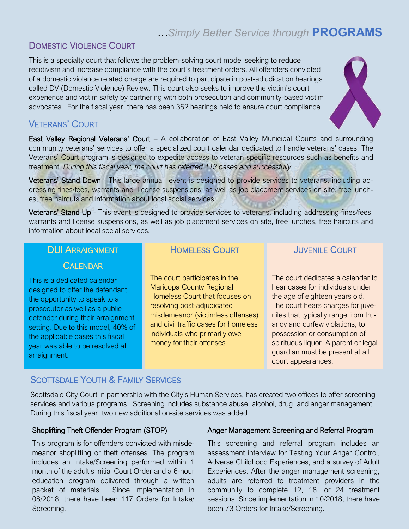#### *…Simply Better Service through* **PROGRAMS**

#### DOMESTIC VIOLENCE COURT

This is a specialty court that follows the problem-solving court model seeking to reduce recidivism and increase compliance with the court's treatment orders. All offenders convicted of a domestic violence related charge are required to participate in post-adjudication hearings called DV (Domestic Violence) Review. This court also seeks to improve the victim's court experience and victim safety by partnering with both prosecution and community-based victim advocates. For the fiscal year, there has been 352 hearings held to ensure court compliance.

#### VETERANS' COURT

East Valley Regional Veterans' Court – A collaboration of East Valley Municipal Courts and surrounding community veterans' services to offer a specialized court calendar dedicated to handle veterans' cases. The Veterans' Court program is designed to expedite access to veteran-specific resources such as benefits and treatment. *During this fiscal year, the court has referred 113 cases and successfully.*

Veterans' Stand Down - This large annual event is designed to provide services to veterans, including addressing fines/fees, warrants and license suspensions, as well as job placement services on site, free lunches, free haircuts and information about local social services.

Veterans' Stand Up - This event is designed to provide services to veterans, including addressing fines/fees, warrants and license suspensions, as well as job placement services on site, free lunches, free haircuts and information about local social services.

#### DUI ARRAIGNMENT

#### **CALENDAR**

This is a dedicated calendar designed to offer the defendant the opportunity to speak to a prosecutor as well as a public defender during their arraignment setting. Due to this model, 40% of the applicable cases this fiscal year was able to be resolved at arraignment.

#### HOMELESS COURT

The court participates in the Maricopa County Regional Homeless Court that focuses on resolving post-adjudicated misdemeanor (victimless offenses) and civil traffic cases for homeless individuals who primarily owe money for their offenses.

#### JUVENILE COURT

The court dedicates a calendar to hear cases for individuals under the age of eighteen years old. The court hears charges for juveniles that typically range from truancy and curfew violations, to possession or consumption of spirituous liquor. A parent or legal guardian must be present at all court appearances.

#### SCOTTSDALE YOUTH & FAMILY SERVICES

Scottsdale City Court in partnership with the City's Human Services, has created two offices to offer screening services and various programs. Screening includes substance abuse, alcohol, drug, and anger management. During this fiscal year, two new additional on-site services was added.

#### Shoplifting Theft Offender Program (STOP)

This program is for offenders convicted with misdemeanor shoplifting or theft offenses. The program includes an Intake/Screening performed within 1 month of the adult's initial Court Order and a 6-hour education program delivered through a written packet of materials. Since implementation in 08/2018, there have been 117 Orders for Intake/ Screening.

#### Anger Management Screening and Referral Program

This screening and referral program includes an assessment interview for Testing Your Anger Control, Adverse Childhood Experiences, and a survey of Adult Experiences. After the anger management screening, adults are referred to treatment providers in the community to complete 12, 18, or 24 treatment sessions. Since implementation in 10/2018, there have been 73 Orders for Intake/Screening.

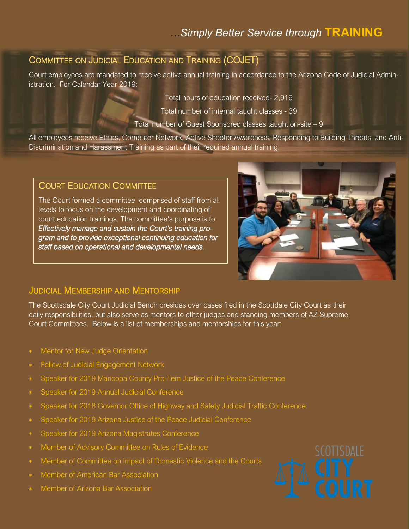#### *…Simply Better Service through* **TRAINING**

#### COMMITTEE ON JUDICIAL EDUCATION AND TRAINING (COJET)

Court employees are mandated to receive active annual training in accordance to the Arizona Code of Judicial Administration. For Calendar Year 2019:

Total hours of education received- 2,916

Total number of internal taught classes - 39

Total number of Guest Sponsored classes taught on-site – 9

All employees receive Ethics, Computer Network, Active Shooter Awareness, Responding to Building Threats, and Anti-Discrimination and Harassment Training as part of their required annual training.

#### COURT EDUCATION COMMITTEE

The Court formed a committee comprised of staff from all levels to focus on the development and coordinating of court education trainings. The committee's purpose is to *Effectively manage and sustain the Court's training program and to provide exceptional continuing education for staff based on operational and developmental needs.* 



#### JUDICIAL MEMBERSHIP AND MENTORSHIP

The Scottsdale City Court Judicial Bench presides over cases filed in the Scottdale City Court as their daily responsibilities, but also serve as mentors to other judges and standing members of AZ Supreme Court Committees. Below is a list of memberships and mentorships for this year:

- Mentor for New Judge Orientation
- Fellow of Judicial Engagement Network
- Speaker for 2019 Maricopa County Pro-Tem Justice of the Peace Conference
- Speaker for 2019 Annual Judicial Conference
- Speaker for 2018 Governor Office of Highway and Safety Judicial Traffic Conference
- Speaker for 2019 Arizona Justice of the Peace Judicial Conference
- Speaker for 2019 Arizona Magistrates Conference
- Member of Advisory Committee on Rules of Evidence
- Member of Committee on Impact of Domestic Violence and the Courts
- Member of American Bar Association
- Member of Arizona Bar Association